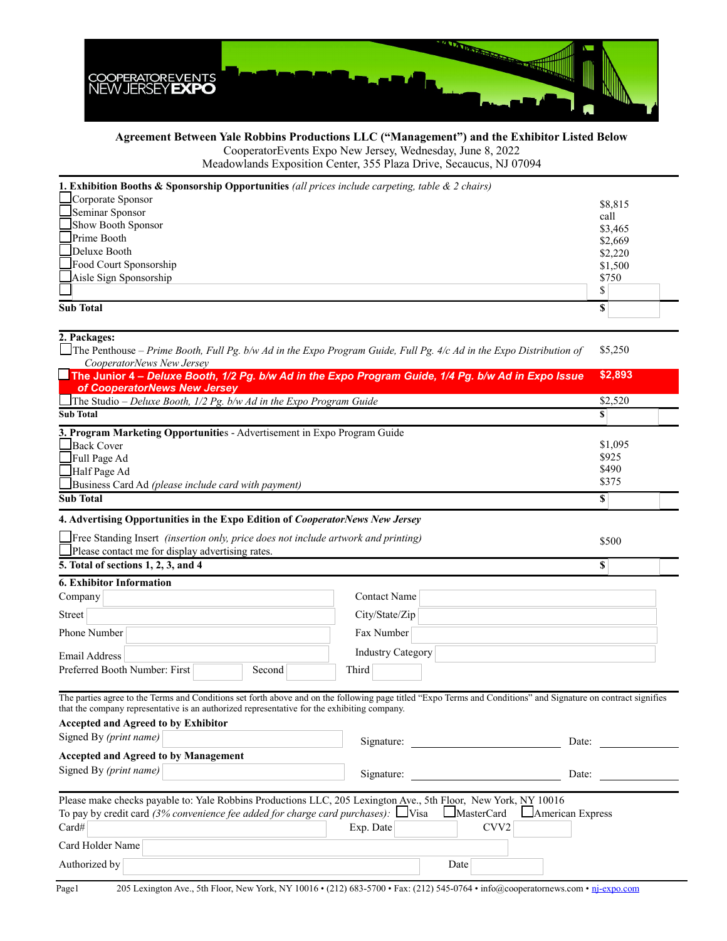

## **Agreement Between Yale Robbins Productions LLC ("Management") and the Exhibitor Listed Below** CooperatorEvents Expo New Jersey, Wednesday, June 8, 2022

Meadowlands Exposition Center, 355 Plaza Drive, Secaucus, NJ 07094

| Corporate Sponsor<br>\$8,815<br>Seminar Sponsor |
|-------------------------------------------------|
|                                                 |
| call                                            |
| Show Booth Sponsor<br>\$3,465                   |
| Prime Booth<br>\$2,669                          |
| $\Box$ Deluxe Booth<br>\$2,220                  |
| Food Court Sponsorship<br>\$1,500               |
| Aisle Sign Sponsorship<br>\$750                 |
| S                                               |
| <b>Sub Total</b>                                |

| 2. Packages:                                                                                                                                                                                                                                                  |                                                                 |         |  |
|---------------------------------------------------------------------------------------------------------------------------------------------------------------------------------------------------------------------------------------------------------------|-----------------------------------------------------------------|---------|--|
| The Penthouse – Prime Booth, Full Pg. b/w Ad in the Expo Program Guide, Full Pg. 4/c Ad in the Expo Distribution of                                                                                                                                           |                                                                 |         |  |
| CooperatorNews New Jersey                                                                                                                                                                                                                                     |                                                                 |         |  |
| The Junior 4 - Deluxe Booth, 1/2 Pg. b/w Ad in the Expo Program Guide, 1/4 Pg. b/w Ad in Expo Issue                                                                                                                                                           |                                                                 | \$2,893 |  |
| of CooperatorNews New Jersey                                                                                                                                                                                                                                  |                                                                 |         |  |
| The Studio – Deluxe Booth, $1/2$ Pg. b/w Ad in the Expo Program Guide                                                                                                                                                                                         |                                                                 | \$2,520 |  |
| <b>Sub Total</b>                                                                                                                                                                                                                                              |                                                                 | S       |  |
| 3. Program Marketing Opportunities - Advertisement in Expo Program Guide                                                                                                                                                                                      |                                                                 | \$1,095 |  |
| Back Cover                                                                                                                                                                                                                                                    |                                                                 |         |  |
| $\Box$ Full Page Ad                                                                                                                                                                                                                                           |                                                                 |         |  |
| Half Page Ad                                                                                                                                                                                                                                                  |                                                                 |         |  |
| Business Card Ad (please include card with payment)                                                                                                                                                                                                           |                                                                 |         |  |
| <b>Sub Total</b>                                                                                                                                                                                                                                              |                                                                 |         |  |
| 4. Advertising Opportunities in the Expo Edition of <i>CooperatorNews New Jersey</i>                                                                                                                                                                          |                                                                 |         |  |
| $\Box$ Free Standing Insert <i>(insertion only, price does not include artwork and printing)</i>                                                                                                                                                              |                                                                 |         |  |
| Please contact me for display advertising rates.                                                                                                                                                                                                              |                                                                 |         |  |
| 5. Total of sections 1, 2, 3, and 4                                                                                                                                                                                                                           |                                                                 | \$      |  |
| <b>6. Exhibitor Information</b>                                                                                                                                                                                                                               |                                                                 |         |  |
| Company                                                                                                                                                                                                                                                       | <b>Contact Name</b>                                             |         |  |
| Street                                                                                                                                                                                                                                                        | City/State/Zip                                                  |         |  |
| Phone Number                                                                                                                                                                                                                                                  | Fax Number                                                      |         |  |
| Email Address                                                                                                                                                                                                                                                 | <b>Industry Category</b>                                        |         |  |
| Preferred Booth Number: First<br>Second                                                                                                                                                                                                                       | Third                                                           |         |  |
|                                                                                                                                                                                                                                                               |                                                                 |         |  |
| The parties agree to the Terms and Conditions set forth above and on the following page titled "Expo Terms and Conditions" and Signature on contract signifies<br>that the company representative is an authorized representative for the exhibiting company. |                                                                 |         |  |
| <b>Accepted and Agreed to by Exhibitor</b>                                                                                                                                                                                                                    |                                                                 |         |  |
| Signed By (print name)                                                                                                                                                                                                                                        | <u> 1989 - Johann Barn, mars eta bainar eta i</u><br>Signature: | Date:   |  |
| <b>Accepted and Agreed to by Management</b>                                                                                                                                                                                                                   |                                                                 |         |  |
| Signed By (print name)                                                                                                                                                                                                                                        | Signature:                                                      | Date:   |  |
|                                                                                                                                                                                                                                                               |                                                                 |         |  |
| Please make checks payable to: Yale Robbins Productions LLC, 205 Lexington Ave., 5th Floor, New York, NY 10016                                                                                                                                                |                                                                 |         |  |
| To pay by credit card (3% convenience fee added for charge card purchases): $\Box$ Visa<br><b>MasterCard</b><br>American Express                                                                                                                              |                                                                 |         |  |
| Card#                                                                                                                                                                                                                                                         | Exp. Date<br>CVV <sub>2</sub>                                   |         |  |
| Card Holder Name                                                                                                                                                                                                                                              |                                                                 |         |  |
| Authorized by<br>Date                                                                                                                                                                                                                                         |                                                                 |         |  |
|                                                                                                                                                                                                                                                               |                                                                 |         |  |